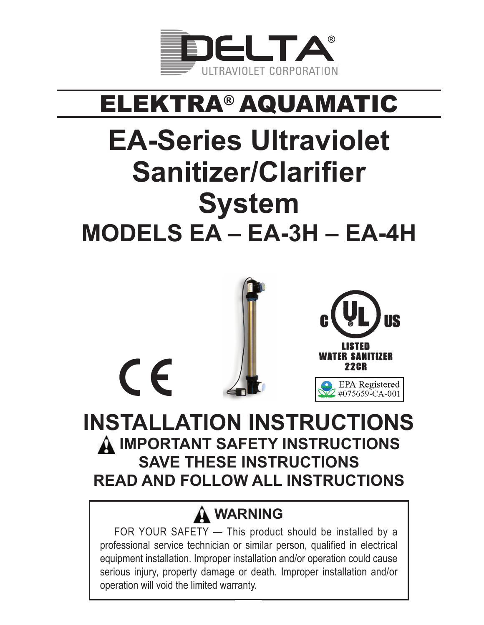

# ELEKTRA® AQUAMATIC

# **EA-Series Ultraviolet Sanitizer/Clarifier System MODELS EA – EA-3H – EA-4H**



**READ AND FOLLOW ALL INSTRUCTIONS**

# **WARNING**

FOR YOUR SAFETY — This product should be installed by a professional service technician or similar person, qualified in electrical equipment installation. Improper installation and/or operation could cause serious injury, property damage or death. Improper installation and/or operation will void the limited warranty.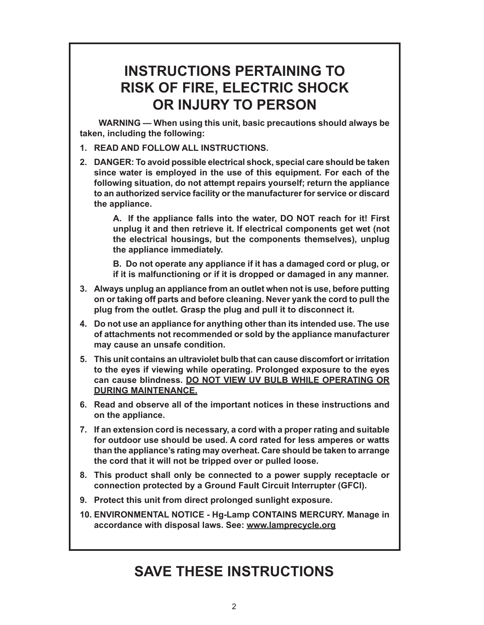### **INSTRUCTIONS PERTAINING TO RISK OF FIRE, ELECTRIC SHOCK OR INJURY TO PERSON**

**WARNING — When using this unit, basic precautions should always be taken, including the following:**

- **1. READ AND FOLLOW ALL INSTRUCTIONS.**
- **2. DANGER: To avoid possible electrical shock, special care should be taken since water is employed in the use of this equipment. For each of the following situation, do not attempt repairs yourself; return the appliance to an authorized service facility or the manufacturer for service or discard the appliance.**

**A. If the appliance falls into the water, DO NOT reach for it! First unplug it and then retrieve it. If electrical components get wet (not the electrical housings, but the components themselves), unplug the appliance immediately.**

**B. Do not operate any appliance if it has a damaged cord or plug, or if it is malfunctioning or if it is dropped or damaged in any manner.**

- **3. Always unplug an appliance from an outlet when not is use, before putting on or taking off parts and before cleaning. Never yank the cord to pull the plug from the outlet. Grasp the plug and pull it to disconnect it.**
- **4. Do not use an appliance for anything other than its intended use. The use of attachments not recommended or sold by the appliance manufacturer may cause an unsafe condition.**
- **5. This unit contains an ultraviolet bulb that can cause discomfort or irritation to the eyes if viewing while operating. Prolonged exposure to the eyes can cause blindness. DO NOT VIEW UV BULB WHILE OPERATING OR DURING MAINTENANCE.**
- **6. Read and observe all of the important notices in these instructions and on the appliance.**
- **7. If an extension cord is necessary, a cord with a proper rating and suitable for outdoor use should be used. A cord rated for less amperes or watts than the appliance's rating may overheat. Care should be taken to arrange the cord that it will not be tripped over or pulled loose.**
- **8. This product shall only be connected to a power supply receptacle or connection protected by a Ground Fault Circuit Interrupter (GFCI).**
- **9. Protect this unit from direct prolonged sunlight exposure.**
- **10. ENVIRONMENTAL NOTICE Hg-Lamp CONTAINS MERCURY. Manage in accordance with disposal laws. See: www.lamprecycle.org**

## **SAVE THESE INSTRUCTIONS**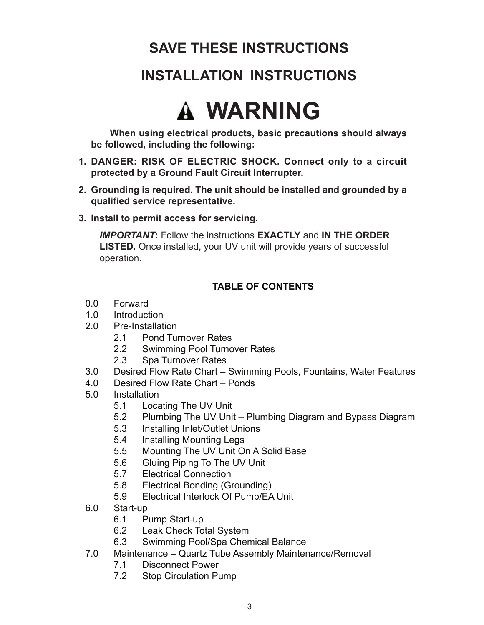# **SAVE THESE INSTRUCTIONS**

## **INSTALLATION INSTRUCTIONS**

# **WARNING**

**When using electrical products, basic precautions should always be followed, including the following:**

- **1. DANGER: RISK OF ELECTRIC SHOCK. Connect only to a circuit protected by a Ground Fault Circuit Interrupter.**
- **2. Grounding is required. The unit should be installed and grounded by a qualified service representative.**
- **3. Install to permit access for servicing.**

*IMPORTANT***:** Follow the instructions **EXACTLY** and **IN THE ORDER LISTED.** Once installed, your UV unit will provide years of successful operation.

#### **TABLE OF CONTENTS**

- 0.0 Forward
- 1.0 Introduction
- 2.0 Pre-Installation
	- 2.1 Pond Turnover Rates
	- 2.2 Swimming Pool Turnover Rates
	- 2.3 Spa Turnover Rates
- 3.0 Desired Flow Rate Chart Swimming Pools, Fountains, Water Features
- 4.0 Desired Flow Rate Chart Ponds
- 5.0 Installation
	- 5.1 Locating The UV Unit
	- 5.2 Plumbing The UV Unit Plumbing Diagram and Bypass Diagram
	- 5.3 Installing Inlet/Outlet Unions
	- 5.4 Installing Mounting Legs
	- 5.5 Mounting The UV Unit On A Solid Base
	- 5.6 Gluing Piping To The UV Unit
	- 5.7 Electrical Connection
	- 5.8 Electrical Bonding (Grounding)
	- 5.9 Electrical Interlock Of Pump/EA Unit
- 6.0 Start-up
	- 6.1 Pump Start-up
	- 6.2 Leak Check Total System
	- 6.3 Swimming Pool/Spa Chemical Balance
- 7.0 Maintenance Quartz Tube Assembly Maintenance/Removal
	- 7.1 Disconnect Power
	- 7.2 Stop Circulation Pump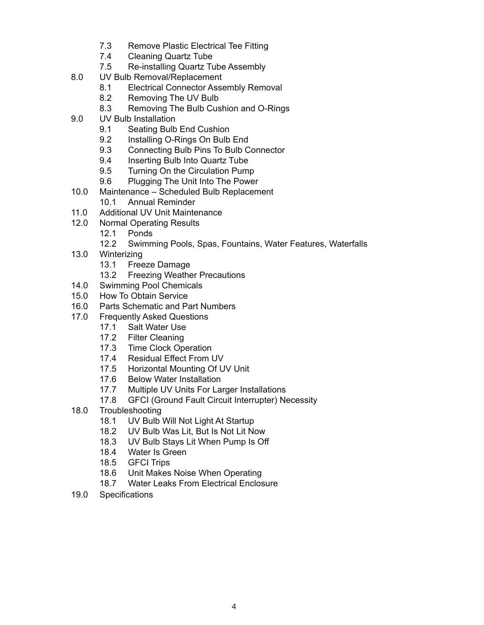- 7.3 Remove Plastic Electrical Tee Fitting
- 7.4 Cleaning Quartz Tube
- 7.5 Re-installing Quartz Tube Assembly
- 8.0 UV Bulb Removal/Replacement
	- 8.1 Electrical Connector Assembly Removal
	- 8.2 Removing The UV Bulb
	- 8.3 Removing The Bulb Cushion and O-Rings
- 9.0 UV Bulb Installation
	- 9.1 Seating Bulb End Cushion
	- 9.2 Installing O-Rings On Bulb End
	- 9.3 Connecting Bulb Pins To Bulb Connector
	- 9.4 Inserting Bulb Into Quartz Tube
	- 9.5 Turning On the Circulation Pump
	- 9.6 Plugging The Unit Into The Power
- 10.0 Maintenance Scheduled Bulb Replacement
	- 10.1 Annual Reminder
- 11.0 Additional UV Unit Maintenance
- 12.0 Normal Operating Results
	- 12.1 Ponds
	- 12.2 Swimming Pools, Spas, Fountains, Water Features, Waterfalls
- 13.0 Winterizing
	- 13.1 Freeze Damage
	- 13.2 Freezing Weather Precautions
- 14.0 Swimming Pool Chemicals
- 15.0 How To Obtain Service
- 16.0 Parts Schematic and Part Numbers
- 17.0 Frequently Asked Questions
	- 17.1 Salt Water Use
	- 17.2 Filter Cleaning
	- 17.3 Time Clock Operation
	- 17.4 Residual Effect From UV
	- 17.5 Horizontal Mounting Of UV Unit
	- 17.6 Below Water Installation
	- 17.7 Multiple UV Units For Larger Installations
	- 17.8 GFCI (Ground Fault Circuit Interrupter) Necessity
- 18.0 Troubleshooting
	- 18.1 UV Bulb Will Not Light At Startup
	- 18.2 UV Bulb Was Lit, But Is Not Lit Now
	- 18.3 UV Bulb Stays Lit When Pump Is Off
	- 18.4 Water Is Green
	- 18.5 GFCI Trips
	- 18.6 Unit Makes Noise When Operating
	- 18.7 Water Leaks From Electrical Enclosure
- 19.0 Specifications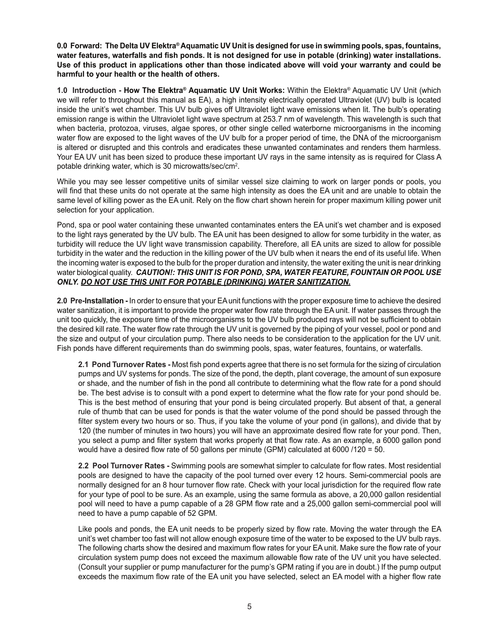**0.0 Forward: The Delta UV Elektra® Aquamatic UV Unit is designed for use in swimming pools, spas, fountains, water features, waterfalls and fish ponds. It is not designed for use in potable (drinking) water installations. Use of this product in applications other than those indicated above will void your warranty and could be harmful to your health or the health of others.**

**1.0 Introduction - How The Elektra® Aquamatic UV Unit Works:** Within the Elektra® Aquamatic UV Unit (which we will refer to throughout this manual as EA), a high intensity electrically operated Ultraviolet (UV) bulb is located inside the unit's wet chamber. This UV bulb gives off Ultraviolet light wave emissions when lit. The bulb's operating emission range is within the Ultraviolet light wave spectrum at 253.7 nm of wavelength. This wavelength is such that when bacteria, protozoa, viruses, algae spores, or other single celled waterborne microorganisms in the incoming water flow are exposed to the light waves of the UV bulb for a proper period of time, the DNA of the microorganism is altered or disrupted and this controls and eradicates these unwanted contaminates and renders them harmless. Your EA UV unit has been sized to produce these important UV rays in the same intensity as is required for Class A potable drinking water, which is 30 microwatts/sec/cm<sup>2</sup>.

While you may see lesser competitive units of similar vessel size claiming to work on larger ponds or pools, you will find that these units do not operate at the same high intensity as does the EA unit and are unable to obtain the same level of killing power as the EA unit. Rely on the flow chart shown herein for proper maximum killing power unit selection for your application.

Pond, spa or pool water containing these unwanted contaminates enters the EA unit's wet chamber and is exposed to the light rays generated by the UV bulb. The EA unit has been designed to allow for some turbidity in the water, as turbidity will reduce the UV light wave transmission capability. Therefore, all EA units are sized to allow for possible turbidity in the water and the reduction in the killing power of the UV bulb when it nears the end of its useful life. When the incoming water is exposed to the bulb for the proper duration and intensity, the water exiting the unit is near drinking water biological quality. *CAUTION!: THIS UNIT IS FOR POND, SPA, WATER FEATURE, FOUNTAIN OR POOL USE ONLY. DO NOT USE THIS UNIT FOR POTABLE (DRINKING) WATER SANITIZATION.*

**2.0 Pre-Installation -** In order to ensure that your EA unit functions with the proper exposure time to achieve the desired water sanitization, it is important to provide the proper water flow rate through the EA unit. If water passes through the unit too quickly, the exposure time of the microorganisms to the UV bulb produced rays will not be sufficient to obtain the desired kill rate. The water flow rate through the UV unit is governed by the piping of your vessel, pool or pond and the size and output of your circulation pump. There also needs to be consideration to the application for the UV unit. Fish ponds have different requirements than do swimming pools, spas, water features, fountains, or waterfalls.

**2.1 Pond Turnover Rates -** Most fish pond experts agree that there is no set formula for the sizing of circulation pumps and UV systems for ponds. The size of the pond, the depth, plant coverage, the amount of sun exposure or shade, and the number of fish in the pond all contribute to determining what the flow rate for a pond should be. The best advise is to consult with a pond expert to determine what the flow rate for your pond should be. This is the best method of ensuring that your pond is being circulated properly. But absent of that, a general rule of thumb that can be used for ponds is that the water volume of the pond should be passed through the filter system every two hours or so. Thus, if you take the volume of your pond (in gallons), and divide that by 120 (the number of minutes in two hours) you will have an approximate desired flow rate for your pond. Then, you select a pump and filter system that works properly at that flow rate. As an example, a 6000 gallon pond would have a desired flow rate of 50 gallons per minute (GPM) calculated at 6000 /120 = 50.

**2.2 Pool Turnover Rates -** Swimming pools are somewhat simpler to calculate for flow rates. Most residential pools are designed to have the capacity of the pool turned over every 12 hours. Semi-commercial pools are normally designed for an 8 hour turnover flow rate. Check with your local jurisdiction for the required flow rate for your type of pool to be sure. As an example, using the same formula as above, a 20,000 gallon residential pool will need to have a pump capable of a 28 GPM flow rate and a 25,000 gallon semi-commercial pool will need to have a pump capable of 52 GPM.

Like pools and ponds, the EA unit needs to be properly sized by flow rate. Moving the water through the EA unit's wet chamber too fast will not allow enough exposure time of the water to be exposed to the UV bulb rays. The following charts show the desired and maximum flow rates for your EA unit. Make sure the flow rate of your circulation system pump does not exceed the maximum allowable flow rate of the UV unit you have selected. (Consult your supplier or pump manufacturer for the pump's GPM rating if you are in doubt.) If the pump output exceeds the maximum flow rate of the EA unit you have selected, select an EA model with a higher flow rate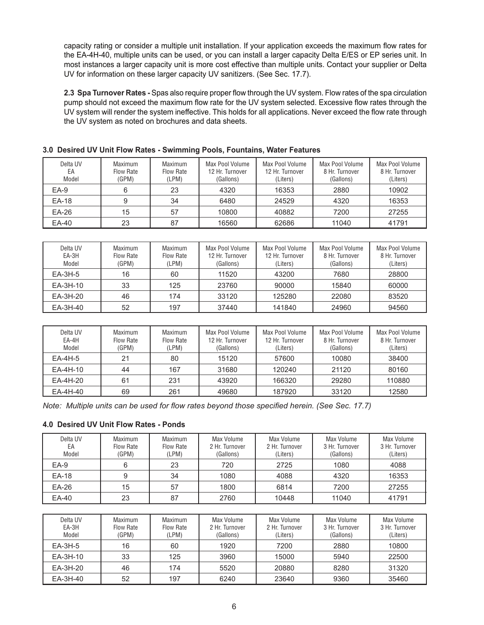capacity rating or consider a multiple unit installation. If your application exceeds the maximum flow rates for the EA-4H-40, multiple units can be used, or you can install a larger capacity Delta E/ES or EP series unit. In most instances a larger capacity unit is more cost effective than multiple units. Contact your supplier or Delta UV for information on these larger capacity UV sanitizers. (See Sec. 17.7).

**2.3 Spa Turnover Rates -** Spas also require proper flow through the UV system. Flow rates of the spa circulation pump should not exceed the maximum flow rate for the UV system selected. Excessive flow rates through the UV system will render the system ineffective. This holds for all applications. Never exceed the flow rate through the UV system as noted on brochures and data sheets.

| Delta UV<br>EA<br>Model | Maximum<br>Flow Rate<br>(GPM) | Maximum<br><b>Flow Rate</b><br>(LPM) | Max Pool Volume<br>12 Hr. Turnover<br>(Gallons) | Max Pool Volume<br>12 Hr. Turnover<br>(Liters) | Max Pool Volume<br>8 Hr. Turnover<br>(Gallons) | Max Pool Volume<br>8 Hr. Turnover<br>(Liters) |
|-------------------------|-------------------------------|--------------------------------------|-------------------------------------------------|------------------------------------------------|------------------------------------------------|-----------------------------------------------|
| $EA-9$                  | 6                             | 23                                   | 4320                                            | 16353                                          | 2880                                           | 10902                                         |
| EA-18                   | 9                             | 34                                   | 6480                                            | 24529                                          | 4320                                           | 16353                                         |
| EA-26                   | 15                            | 57                                   | 10800                                           | 40882                                          | 7200                                           | 27255                                         |
| EA-40                   | 23                            | 87                                   | 16560                                           | 62686                                          | 11040                                          | 41791                                         |

#### **3.0 Desired UV Unit Flow Rates - Swimming Pools, Fountains, Water Features**

| Delta UV<br>EA-3H<br>Model | <b>Maximum</b><br>Flow Rate<br>(GPM) | Maximum<br><b>Flow Rate</b><br>LPM) | Max Pool Volume<br>12 Hr. Turnover<br>(Gallons) | Max Pool Volume<br>12 Hr. Turnover<br>(Liters) | Max Pool Volume<br>8 Hr. Turnover<br>(Gallons) | Max Pool Volume<br>8 Hr. Turnover<br>(Liters) |
|----------------------------|--------------------------------------|-------------------------------------|-------------------------------------------------|------------------------------------------------|------------------------------------------------|-----------------------------------------------|
| $EA-3H-5$                  | 16                                   | 60                                  | 11520                                           | 43200                                          | 7680                                           | 28800                                         |
| EA-3H-10                   | 33                                   | 125                                 | 23760                                           | 90000                                          | 15840                                          | 60000                                         |
| EA-3H-20                   | 46                                   | 174                                 | 33120                                           | 125280                                         | 22080                                          | 83520                                         |
| EA-3H-40                   | 52                                   | 197                                 | 37440                                           | 141840                                         | 24960                                          | 94560                                         |

| Delta UV<br>EA-4H<br>Model | Maximum<br>Flow Rate<br>(GPM) | Maximum<br><b>Flow Rate</b><br>LPM) | Max Pool Volume<br>12 Hr. Turnover<br>(Gallons) | Max Pool Volume<br>12 Hr. Turnover<br>(Liters) | Max Pool Volume<br>8 Hr. Turnover<br>(Gallons) | Max Pool Volume<br>8 Hr. Turnover<br>(Liters) |
|----------------------------|-------------------------------|-------------------------------------|-------------------------------------------------|------------------------------------------------|------------------------------------------------|-----------------------------------------------|
| $EA-4H-5$                  | 21                            | 80                                  | 15120                                           | 57600                                          | 10080                                          | 38400                                         |
| EA-4H-10                   | 44                            | 167                                 | 31680                                           | 120240                                         | 21120                                          | 80160                                         |
| EA-4H-20                   | 61                            | 231                                 | 43920                                           | 166320                                         | 29280                                          | 110880                                        |
| EA-4H-40                   | 69                            | 261                                 | 49680                                           | 187920                                         | 33120                                          | 12580                                         |

*Note: Multiple units can be used for flow rates beyond those specified herein. (See Sec. 17.7)*

#### **4.0 Desired UV Unit Flow Rates - Ponds**

| Delta UV<br>EA<br>Model | Maximum<br><b>Flow Rate</b><br>(GPM) | <b>Maximum</b><br>Flow Rate<br>LPM) | Max Volume<br>2 Hr. Turnover<br>(Gallons) | Max Volume<br>2 Hr. Turnover<br>(Liters) | Max Volume<br>3 Hr. Turnover<br>(Gallons) | Max Volume<br>3 Hr. Turnover<br>(Liters) |
|-------------------------|--------------------------------------|-------------------------------------|-------------------------------------------|------------------------------------------|-------------------------------------------|------------------------------------------|
| $EA-9$                  | 6                                    | 23                                  | 720                                       | 2725                                     | 1080                                      | 4088                                     |
| EA-18                   | 9                                    | 34                                  | 1080                                      | 4088                                     | 4320                                      | 16353                                    |
| EA-26                   | 15                                   | 57                                  | 1800                                      | 6814                                     | 7200                                      | 27255                                    |
| EA-40                   | 23                                   | 87                                  | 2760                                      | 10448                                    | 11040                                     | 41791                                    |

| Delta UV<br>EA-3H<br>Model | Maximum<br>Flow Rate<br>(GPM) | Maximum<br>Flow Rate<br>'LPM) | Max Volume<br>2 Hr. Turnover<br>(Gallons) | Max Volume<br>2 Hr. Turnover<br>(Liters) | Max Volume<br>3 Hr. Turnover<br>(Gallons) | Max Volume<br>3 Hr. Turnover<br>(Liters) |
|----------------------------|-------------------------------|-------------------------------|-------------------------------------------|------------------------------------------|-------------------------------------------|------------------------------------------|
| $EA-3H-5$                  | 16                            | 60                            | 1920                                      | 7200                                     | 2880                                      | 10800                                    |
| EA-3H-10                   | 33                            | 125                           | 3960                                      | 15000                                    | 5940                                      | 22500                                    |
| EA-3H-20                   | 46                            | 174                           | 5520                                      | 20880                                    | 8280                                      | 31320                                    |
| EA-3H-40                   | 52                            | 197                           | 6240                                      | 23640                                    | 9360                                      | 35460                                    |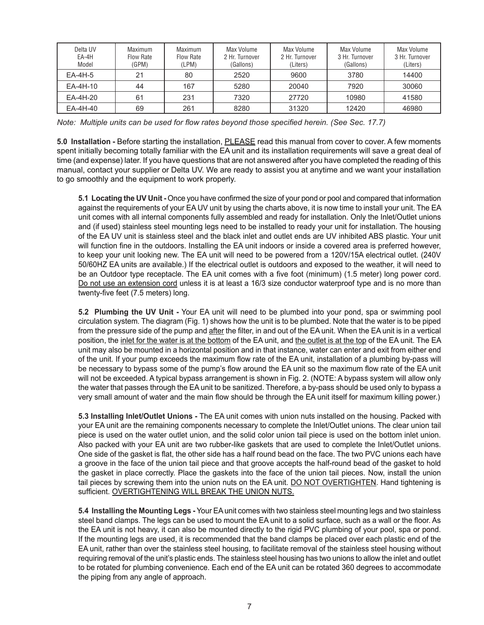| Delta UV<br>EA-4H<br>Model | Maximum<br>Flow Rate<br>(GPM) | Maximum<br><b>Flow Rate</b><br>LPM) | Max Volume<br>2 Hr. Turnover<br>(Gallons) | Max Volume<br>2 Hr. Turnover<br>(Liters) | Max Volume<br>3 Hr. Turnover<br>(Gallons) | Max Volume<br>3 Hr. Turnover<br>(Liters) |
|----------------------------|-------------------------------|-------------------------------------|-------------------------------------------|------------------------------------------|-------------------------------------------|------------------------------------------|
| $EA-4H-5$                  | 21                            | 80                                  | 2520                                      | 9600                                     | 3780                                      | 14400                                    |
| EA-4H-10                   | 44                            | 167                                 | 5280                                      | 20040                                    | 7920                                      | 30060                                    |
| EA-4H-20                   | 61                            | 231                                 | 7320                                      | 27720                                    | 10980                                     | 41580                                    |
| EA-4H-40                   | 69                            | 261                                 | 8280                                      | 31320                                    | 12420                                     | 46980                                    |

*Note: Multiple units can be used for flow rates beyond those specified herein. (See Sec. 17.7)*

**5.0 Installation -** Before starting the installation, PLEASE read this manual from cover to cover. A few moments spent initially becoming totally familiar with the EA unit and its installation requirements will save a great deal of time (and expense) later. If you have questions that are not answered after you have completed the reading of this manual, contact your supplier or Delta UV. We are ready to assist you at anytime and we want your installation to go smoothly and the equipment to work properly.

**5.1 Locating the UV Unit -** Once you have confirmed the size of your pond or pool and compared that information against the requirements of your EA UV unit by using the charts above, it is now time to install your unit. The EA unit comes with all internal components fully assembled and ready for installation. Only the Inlet/Outlet unions and (if used) stainless steel mounting legs need to be installed to ready your unit for installation. The housing of the EA UV unit is stainless steel and the black inlet and outlet ends are UV inhibited ABS plastic. Your unit will function fine in the outdoors. Installing the EA unit indoors or inside a covered area is preferred however, to keep your unit looking new. The EA unit will need to be powered from a 120V/15A electrical outlet. (240V 50/60HZ EA units are available.) If the electrical outlet is outdoors and exposed to the weather, it will need to be an Outdoor type receptacle. The EA unit comes with a five foot (minimum) (1.5 meter) long power cord. Do not use an extension cord unless it is at least a 16/3 size conductor waterproof type and is no more than twenty-five feet (7.5 meters) long.

**5.2 Plumbing the UV Unit -** Your EA unit will need to be plumbed into your pond, spa or swimming pool circulation system. The diagram (Fig. 1) shows how the unit is to be plumbed. Note that the water is to be piped from the pressure side of the pump and after the filter, in and out of the EA unit. When the EA unit is in a vertical position, the inlet for the water is at the bottom of the EA unit, and the outlet is at the top of the EA unit. The EA unit may also be mounted in a horizontal position and in that instance, water can enter and exit from either end of the unit. If your pump exceeds the maximum flow rate of the EA unit, installation of a plumbing by-pass will be necessary to bypass some of the pump's flow around the EA unit so the maximum flow rate of the EA unit will not be exceeded. A typical bypass arrangement is shown in Fig. 2. (NOTE: A bypass system will allow only the water that passes through the EA unit to be sanitized. Therefore, a by-pass should be used only to bypass a very small amount of water and the main flow should be through the EA unit itself for maximum killing power.)

**5.3 Installing Inlet/Outlet Unions -** The EA unit comes with union nuts installed on the housing. Packed with your EA unit are the remaining components necessary to complete the Inlet/Outlet unions. The clear union tail piece is used on the water outlet union, and the solid color union tail piece is used on the bottom inlet union. Also packed with your EA unit are two rubber-like gaskets that are used to complete the Inlet/Outlet unions. One side of the gasket is flat, the other side has a half round bead on the face. The two PVC unions each have a groove in the face of the union tail piece and that groove accepts the half-round bead of the gasket to hold the gasket in place correctly. Place the gaskets into the face of the union tail pieces. Now, install the union tail pieces by screwing them into the union nuts on the EA unit. DO NOT OVERTIGHTEN. Hand tightening is sufficient. OVERTIGHTENING WILL BREAK THE UNION NUTS.

**5.4 Installing the Mounting Legs -** Your EA unit comes with two stainless steel mounting legs and two stainless steel band clamps. The legs can be used to mount the EA unit to a solid surface, such as a wall or the floor. As the EA unit is not heavy, it can also be mounted directly to the rigid PVC plumbing of your pool, spa or pond. If the mounting legs are used, it is recommended that the band clamps be placed over each plastic end of the EA unit, rather than over the stainless steel housing, to facilitate removal of the stainless steel housing without requiring removal of the unit's plastic ends. The stainless steel housing has two unions to allow the inlet and outlet to be rotated for plumbing convenience. Each end of the EA unit can be rotated 360 degrees to accommodate the piping from any angle of approach.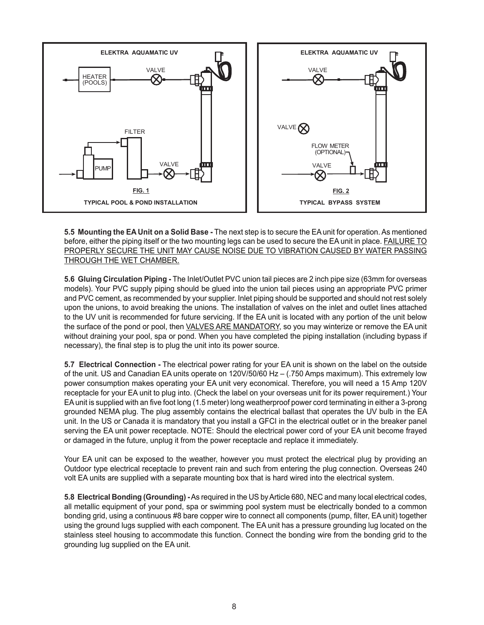

**5.5 Mounting the EA Unit on a Solid Base -** The next step is to secure the EA unit for operation. As mentioned before, either the piping itself or the two mounting legs can be used to secure the EA unit in place. FAILURE TO PROPERLY SECURE THE UNIT MAY CAUSE NOISE DUE TO VIBRATION CAUSED BY WATER PASSING THROUGH THE WET CHAMBER.

**5.6 Gluing Circulation Piping -** The Inlet/Outlet PVC union tail pieces are 2 inch pipe size (63mm for overseas models). Your PVC supply piping should be glued into the union tail pieces using an appropriate PVC primer and PVC cement, as recommended by your supplier. Inlet piping should be supported and should not rest solely upon the unions, to avoid breaking the unions. The installation of valves on the inlet and outlet lines attached to the UV unit is recommended for future servicing. If the EA unit is located with any portion of the unit below the surface of the pond or pool, then VALVES ARE MANDATORY, so you may winterize or remove the EA unit without draining your pool, spa or pond. When you have completed the piping installation (including bypass if necessary), the final step is to plug the unit into its power source.

**5.7 Electrical Connection -** The electrical power rating for your EA unit is shown on the label on the outside of the unit. US and Canadian EA units operate on 120V/50/60 Hz – (.750 Amps maximum). This extremely low power consumption makes operating your EA unit very economical. Therefore, you will need a 15 Amp 120V receptacle for your EA unit to plug into. (Check the label on your overseas unit for its power requirement.) Your EA unit is supplied with an five foot long (1.5 meter) long weatherproof power cord terminating in either a 3-prong grounded NEMA plug. The plug assembly contains the electrical ballast that operates the UV bulb in the EA unit. In the US or Canada it is mandatory that you install a GFCI in the electrical outlet or in the breaker panel serving the EA unit power receptacle. NOTE: Should the electrical power cord of your EA unit become frayed or damaged in the future, unplug it from the power receptacle and replace it immediately.

Your EA unit can be exposed to the weather, however you must protect the electrical plug by providing an Outdoor type electrical receptacle to prevent rain and such from entering the plug connection. Overseas 240 volt EA units are supplied with a separate mounting box that is hard wired into the electrical system.

**5.8 Electrical Bonding (Grounding) -** As required in the US by Article 680, NEC and many local electrical codes, all metallic equipment of your pond, spa or swimming pool system must be electrically bonded to a common bonding grid, using a continuous #8 bare copper wire to connect all components (pump, filter, EA unit) together using the ground lugs supplied with each component. The EA unit has a pressure grounding lug located on the stainless steel housing to accommodate this function. Connect the bonding wire from the bonding grid to the grounding lug supplied on the EA unit.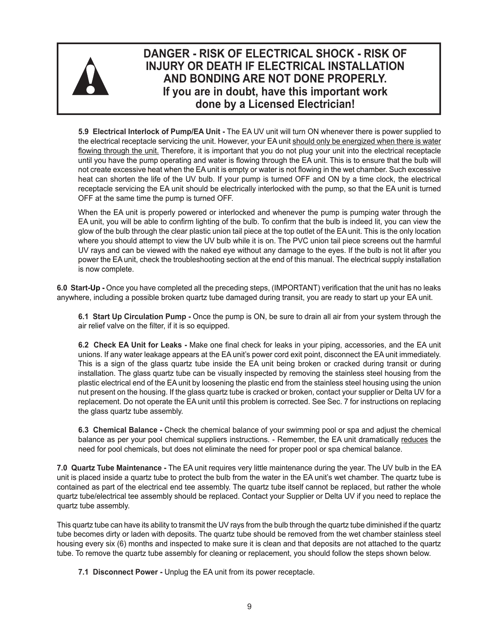

#### **DANGER - RISK OF ELECTRICAL SHOCK - RISK OF INJURY OR DEATH IF ELECTRICAL INSTALLATION AND BONDING ARE NOT DONE PROPERLY. If you are in doubt, have this important work done by a Licensed Electrician!**

**5.9 Electrical Interlock of Pump/EA Unit -** The EA UV unit will turn ON whenever there is power supplied to the electrical receptacle servicing the unit. However, your EA unit should only be energized when there is water flowing through the unit. Therefore, it is important that you do not plug your unit into the electrical receptacle until you have the pump operating and water is flowing through the EA unit. This is to ensure that the bulb will not create excessive heat when the EA unit is empty or water is not flowing in the wet chamber. Such excessive heat can shorten the life of the UV bulb. If your pump is turned OFF and ON by a time clock, the electrical receptacle servicing the EA unit should be electrically interlocked with the pump, so that the EA unit is turned OFF at the same time the pump is turned OFF.

When the EA unit is properly powered or interlocked and whenever the pump is pumping water through the EA unit, you will be able to confirm lighting of the bulb. To confirm that the bulb is indeed lit, you can view the glow of the bulb through the clear plastic union tail piece at the top outlet of the EA unit. This is the only location where you should attempt to view the UV bulb while it is on. The PVC union tail piece screens out the harmful UV rays and can be viewed with the naked eye without any damage to the eyes. If the bulb is not lit after you power the EA unit, check the troubleshooting section at the end of this manual. The electrical supply installation is now complete.

**6.0 Start-Up -** Once you have completed all the preceding steps, (IMPORTANT) verification that the unit has no leaks anywhere, including a possible broken quartz tube damaged during transit, you are ready to start up your EA unit.

**6.1 Start Up Circulation Pump -** Once the pump is ON, be sure to drain all air from your system through the air relief valve on the filter, if it is so equipped.

**6.2 Check EA Unit for Leaks -** Make one final check for leaks in your piping, accessories, and the EA unit unions. If any water leakage appears at the EA unit's power cord exit point, disconnect the EA unit immediately. This is a sign of the glass quartz tube inside the EA unit being broken or cracked during transit or during installation. The glass quartz tube can be visually inspected by removing the stainless steel housing from the plastic electrical end of the EA unit by loosening the plastic end from the stainless steel housing using the union nut present on the housing. If the glass quartz tube is cracked or broken, contact your supplier or Delta UV for a replacement. Do not operate the EA unit until this problem is corrected. See Sec. 7 for instructions on replacing the glass quartz tube assembly.

**6.3 Chemical Balance -** Check the chemical balance of your swimming pool or spa and adjust the chemical balance as per your pool chemical suppliers instructions. - Remember, the EA unit dramatically reduces the need for pool chemicals, but does not eliminate the need for proper pool or spa chemical balance.

**7.0 Quartz Tube Maintenance -** The EA unit requires very little maintenance during the year. The UV bulb in the EA unit is placed inside a quartz tube to protect the bulb from the water in the EA unit's wet chamber. The quartz tube is contained as part of the electrical end tee assembly. The quartz tube itself cannot be replaced, but rather the whole quartz tube/electrical tee assembly should be replaced. Contact your Supplier or Delta UV if you need to replace the quartz tube assembly.

This quartz tube can have its ability to transmit the UV rays from the bulb through the quartz tube diminished if the quartz tube becomes dirty or laden with deposits. The quartz tube should be removed from the wet chamber stainless steel housing every six (6) months and inspected to make sure it is clean and that deposits are not attached to the quartz tube. To remove the quartz tube assembly for cleaning or replacement, you should follow the steps shown below.

**7.1 Disconnect Power -** Unplug the EA unit from its power receptacle.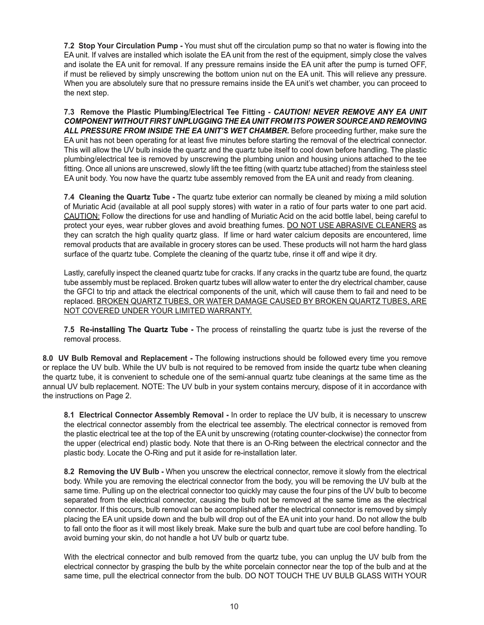**7.2 Stop Your Circulation Pump -** You must shut off the circulation pump so that no water is flowing into the EA unit. If valves are installed which isolate the EA unit from the rest of the equipment, simply close the valves and isolate the EA unit for removal. If any pressure remains inside the EA unit after the pump is turned OFF, if must be relieved by simply unscrewing the bottom union nut on the EA unit. This will relieve any pressure. When you are absolutely sure that no pressure remains inside the EA unit's wet chamber, you can proceed to the next step.

**7.3 Remove the Plastic Plumbing/Electrical Tee Fitting -** *CAUTION! NEVER REMOVE ANY EA UNIT COMPONENT WITHOUT FIRST UNPLUGGING THE EA UNIT FROM ITS POWER SOURCE AND REMOVING ALL PRESSURE FROM INSIDE THE EA UNIT'S WET CHAMBER.* Before proceeding further, make sure the EA unit has not been operating for at least five minutes before starting the removal of the electrical connector. This will allow the UV bulb inside the quartz and the quartz tube itself to cool down before handling. The plastic plumbing/electrical tee is removed by unscrewing the plumbing union and housing unions attached to the tee fitting. Once all unions are unscrewed, slowly lift the tee fitting (with quartz tube attached) from the stainless steel EA unit body. You now have the quartz tube assembly removed from the EA unit and ready from cleaning.

**7.4 Cleaning the Quartz Tube -** The quartz tube exterior can normally be cleaned by mixing a mild solution of Muriatic Acid (available at all pool supply stores) with water in a ratio of four parts water to one part acid. CAUTION: Follow the directions for use and handling of Muriatic Acid on the acid bottle label, being careful to protect your eyes, wear rubber gloves and avoid breathing fumes. DO NOT USE ABRASIVE CLEANERS as they can scratch the high quality quartz glass. If lime or hard water calcium deposits are encountered, lime removal products that are available in grocery stores can be used. These products will not harm the hard glass surface of the quartz tube. Complete the cleaning of the quartz tube, rinse it off and wipe it dry.

Lastly, carefully inspect the cleaned quartz tube for cracks. If any cracks in the quartz tube are found, the quartz tube assembly must be replaced. Broken quartz tubes will allow water to enter the dry electrical chamber, cause the GFCI to trip and attack the electrical components of the unit, which will cause them to fail and need to be replaced. BROKEN QUARTZ TUBES, OR WATER DAMAGE CAUSED BY BROKEN QUARTZ TUBES, ARE NOT COVERED UNDER YOUR LIMITED WARRANTY.

**7.5 Re-installing The Quartz Tube -** The process of reinstalling the quartz tube is just the reverse of the removal process.

**8.0 UV Bulb Removal and Replacement -** The following instructions should be followed every time you remove or replace the UV bulb. While the UV bulb is not required to be removed from inside the quartz tube when cleaning the quartz tube, it is convenient to schedule one of the semi-annual quartz tube cleanings at the same time as the annual UV bulb replacement. NOTE: The UV bulb in your system contains mercury, dispose of it in accordance with the instructions on Page 2.

**8.1 Electrical Connector Assembly Removal -** In order to replace the UV bulb, it is necessary to unscrew the electrical connector assembly from the electrical tee assembly. The electrical connector is removed from the plastic electrical tee at the top of the EA unit by unscrewing (rotating counter-clockwise) the connector from the upper (electrical end) plastic body. Note that there is an O-Ring between the electrical connector and the plastic body. Locate the O-Ring and put it aside for re-installation later.

**8.2 Removing the UV Bulb -** When you unscrew the electrical connector, remove it slowly from the electrical body. While you are removing the electrical connector from the body, you will be removing the UV bulb at the same time. Pulling up on the electrical connector too quickly may cause the four pins of the UV bulb to become separated from the electrical connector, causing the bulb not be removed at the same time as the electrical connector. If this occurs, bulb removal can be accomplished after the electrical connector is removed by simply placing the EA unit upside down and the bulb will drop out of the EA unit into your hand. Do not allow the bulb to fall onto the floor as it will most likely break. Make sure the bulb and quart tube are cool before handling. To avoid burning your skin, do not handle a hot UV bulb or quartz tube.

With the electrical connector and bulb removed from the quartz tube, you can unplug the UV bulb from the electrical connector by grasping the bulb by the white porcelain connector near the top of the bulb and at the same time, pull the electrical connector from the bulb. DO NOT TOUCH THE UV BULB GLASS WITH YOUR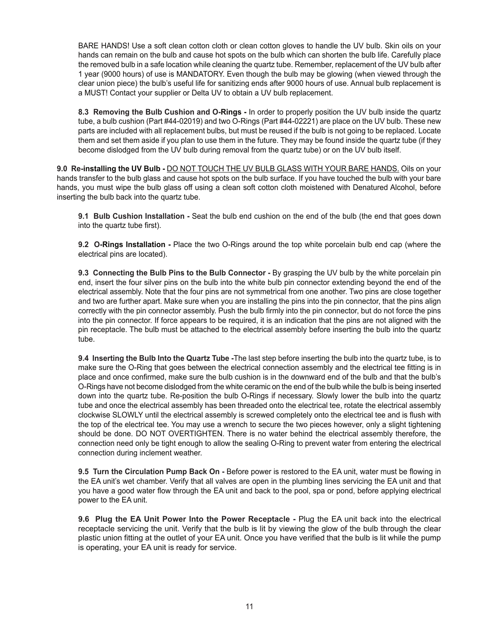BARE HANDS! Use a soft clean cotton cloth or clean cotton gloves to handle the UV bulb. Skin oils on your hands can remain on the bulb and cause hot spots on the bulb which can shorten the bulb life. Carefully place the removed bulb in a safe location while cleaning the quartz tube. Remember, replacement of the UV bulb after 1 year (9000 hours) of use is MANDATORY. Even though the bulb may be glowing (when viewed through the clear union piece) the bulb's useful life for sanitizing ends after 9000 hours of use. Annual bulb replacement is a MUST! Contact your supplier or Delta UV to obtain a UV bulb replacement.

**8.3 Removing the Bulb Cushion and O-Rings -** In order to properly position the UV bulb inside the quartz tube, a bulb cushion (Part #44-02019) and two O-Rings (Part #44-02221) are place on the UV bulb. These new parts are included with all replacement bulbs, but must be reused if the bulb is not going to be replaced. Locate them and set them aside if you plan to use them in the future. They may be found inside the quartz tube (if they become dislodged from the UV bulb during removal from the quartz tube) or on the UV bulb itself.

**9.0 Re-installing the UV Bulb -** DO NOT TOUCH THE UV BULB GLASS WITH YOUR BARE HANDS. Oils on your hands transfer to the bulb glass and cause hot spots on the bulb surface. If you have touched the bulb with your bare hands, you must wipe the bulb glass off using a clean soft cotton cloth moistened with Denatured Alcohol, before inserting the bulb back into the quartz tube.

**9.1 Bulb Cushion Installation -** Seat the bulb end cushion on the end of the bulb (the end that goes down into the quartz tube first).

**9.2 O-Rings Installation -** Place the two O-Rings around the top white porcelain bulb end cap (where the electrical pins are located).

**9.3 Connecting the Bulb Pins to the Bulb Connector -** By grasping the UV bulb by the white porcelain pin end, insert the four silver pins on the bulb into the white bulb pin connector extending beyond the end of the electrical assembly. Note that the four pins are not symmetrical from one another. Two pins are close together and two are further apart. Make sure when you are installing the pins into the pin connector, that the pins align correctly with the pin connector assembly. Push the bulb firmly into the pin connector, but do not force the pins into the pin connector. If force appears to be required, it is an indication that the pins are not aligned with the pin receptacle. The bulb must be attached to the electrical assembly before inserting the bulb into the quartz tube.

**9.4 Inserting the Bulb Into the Quartz Tube -**The last step before inserting the bulb into the quartz tube, is to make sure the O-Ring that goes between the electrical connection assembly and the electrical tee fitting is in place and once confirmed, make sure the bulb cushion is in the downward end of the bulb and that the bulb's O-Rings have not become dislodged from the white ceramic on the end of the bulb while the bulb is being inserted down into the quartz tube. Re-position the bulb O-Rings if necessary. Slowly lower the bulb into the quartz tube and once the electrical assembly has been threaded onto the electrical tee, rotate the electrical assembly clockwise SLOWLY until the electrical assembly is screwed completely onto the electrical tee and is flush with the top of the electrical tee. You may use a wrench to secure the two pieces however, only a slight tightening should be done. DO NOT OVERTIGHTEN. There is no water behind the electrical assembly therefore, the connection need only be tight enough to allow the sealing O-Ring to prevent water from entering the electrical connection during inclement weather.

**9.5 Turn the Circulation Pump Back On -** Before power is restored to the EA unit, water must be flowing in the EA unit's wet chamber. Verify that all valves are open in the plumbing lines servicing the EA unit and that you have a good water flow through the EA unit and back to the pool, spa or pond, before applying electrical power to the EA unit.

**9.6 Plug the EA Unit Power Into the Power Receptacle -** Plug the EA unit back into the electrical receptacle servicing the unit. Verify that the bulb is lit by viewing the glow of the bulb through the clear plastic union fitting at the outlet of your EA unit. Once you have verified that the bulb is lit while the pump is operating, your EA unit is ready for service.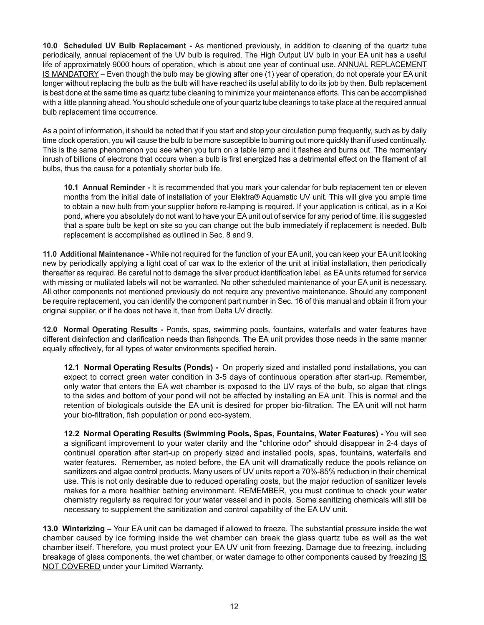**10.0 Scheduled UV Bulb Replacement -** As mentioned previously, in addition to cleaning of the quartz tube periodically, annual replacement of the UV bulb is required. The High Output UV bulb in your EA unit has a useful life of approximately 9000 hours of operation, which is about one year of continual use. ANNUAL REPLACEMENT IS MANDATORY – Even though the bulb may be glowing after one (1) year of operation, do not operate your EA unit longer without replacing the bulb as the bulb will have reached its useful ability to do its job by then. Bulb replacement is best done at the same time as quartz tube cleaning to minimize your maintenance efforts. This can be accomplished with a little planning ahead. You should schedule one of your quartz tube cleanings to take place at the required annual bulb replacement time occurrence.

As a point of information, it should be noted that if you start and stop your circulation pump frequently, such as by daily time clock operation, you will cause the bulb to be more susceptible to burning out more quickly than if used continually. This is the same phenomenon you see when you turn on a table lamp and it flashes and burns out. The momentary inrush of billions of electrons that occurs when a bulb is first energized has a detrimental effect on the filament of all bulbs, thus the cause for a potentially shorter bulb life.

**10.1 Annual Reminder -** It is recommended that you mark your calendar for bulb replacement ten or eleven months from the initial date of installation of your Elektra® Aquamatic UV unit. This will give you ample time to obtain a new bulb from your supplier before re-lamping is required. If your application is critical, as in a Koi pond, where you absolutely do not want to have your EA unit out of service for any period of time, it is suggested that a spare bulb be kept on site so you can change out the bulb immediately if replacement is needed. Bulb replacement is accomplished as outlined in Sec. 8 and 9.

**11.0 Additional Maintenance -** While not required for the function of your EA unit, you can keep your EA unit looking new by periodically applying a light coat of car wax to the exterior of the unit at initial installation, then periodically thereafter as required. Be careful not to damage the silver product identification label, as EA units returned for service with missing or mutilated labels will not be warranted. No other scheduled maintenance of your EA unit is necessary. All other components not mentioned previously do not require any preventive maintenance. Should any component be require replacement, you can identify the component part number in Sec. 16 of this manual and obtain it from your original supplier, or if he does not have it, then from Delta UV directly.

**12.0 Normal Operating Results -** Ponds, spas, swimming pools, fountains, waterfalls and water features have different disinfection and clarification needs than fishponds. The EA unit provides those needs in the same manner equally effectively, for all types of water environments specified herein.

**12.1 Normal Operating Results (Ponds) -** On properly sized and installed pond installations, you can expect to correct green water condition in 3-5 days of continuous operation after start-up. Remember, only water that enters the EA wet chamber is exposed to the UV rays of the bulb, so algae that clings to the sides and bottom of your pond will not be affected by installing an EA unit. This is normal and the retention of biologicals outside the EA unit is desired for proper bio-filtration. The EA unit will not harm your bio-filtration, fish population or pond eco-system.

**12.2 Normal Operating Results (Swimming Pools, Spas, Fountains, Water Features) -** You will see a significant improvement to your water clarity and the "chlorine odor" should disappear in 2-4 days of continual operation after start-up on properly sized and installed pools, spas, fountains, waterfalls and water features. Remember, as noted before, the EA unit will dramatically reduce the pools reliance on sanitizers and algae control products. Many users of UV units report a 70%-85% reduction in their chemical use. This is not only desirable due to reduced operating costs, but the major reduction of sanitizer levels makes for a more healthier bathing environment. REMEMBER, you must continue to check your water chemistry regularly as required for your water vessel and in pools. Some sanitizing chemicals will still be necessary to supplement the sanitization and control capability of the EA UV unit.

**13.0 Winterizing –** Your EA unit can be damaged if allowed to freeze. The substantial pressure inside the wet chamber caused by ice forming inside the wet chamber can break the glass quartz tube as well as the wet chamber itself. Therefore, you must protect your EA UV unit from freezing. Damage due to freezing, including breakage of glass components, the wet chamber, or water damage to other components caused by freezing IS **NOT COVERED** under your Limited Warranty.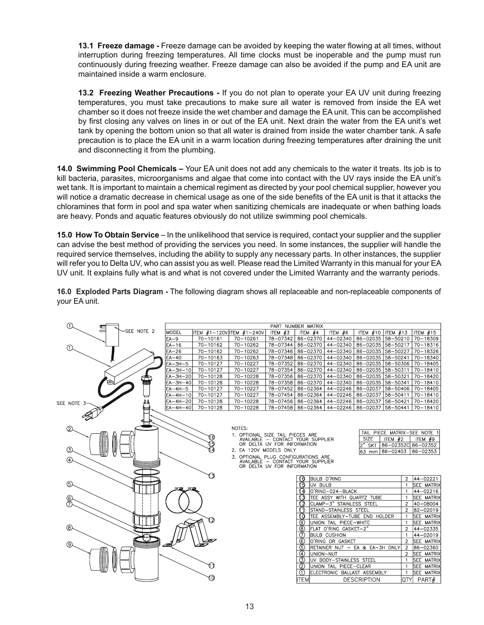**13.1 Freeze damage -** Freeze damage can be avoided by keeping the water flowing at all times, without interruption during freezing temperatures. All time clocks must be inoperable and the pump must run continuously during freezing weather. Freeze damage can also be avoided if the pump and EA unit are maintained inside a warm enclosure.

**13.2 Freezing Weather Precautions -** If you do not plan to operate your EA UV unit during freezing temperatures, you must take precautions to make sure all water is removed from inside the EA wet chamber so it does not freeze inside the wet chamber and damage the EA unit. This can be accomplished by first closing any valves on lines in or out of the EA unit. Next drain the water from the EA unit's wet tank by opening the bottom union so that all water is drained from inside the water chamber tank. A safe precaution is to place the EA unit in a warm location during freezing temperatures after draining the unit and disconnecting it from the plumbing.

**14.0 Swimming Pool Chemicals –** Your EA unit does not add any chemicals to the water it treats. Its job is to kill bacteria, parasites, microorganisms and algae that come into contact with the UV rays inside the EA unit's wet tank. It is important to maintain a chemical regiment as directed by your pool chemical supplier, however you will notice a dramatic decrease in chemical usage as one of the side benefits of the EA unit is that it attacks the chloramines that form in pool and spa water when sanitizing chemicals are inadequate or when bathing loads are heavy. Ponds and aquatic features obviously do not utilize swimming pool chemicals.

**15.0 How To Obtain Service** – In the unlikelihood that service is required, contact your supplier and the supplier can advise the best method of providing the services you need. In some instances, the supplier will handle the required service themselves, including the ability to supply any necessary parts. In other instances, the supplier will refer you to Delta UV, who can assist you as well. Please read the Limited Warranty in this manual for your EA UV unit. It explains fully what is and what is not covered under the Limited Warranty and the warranty periods.

**16.0 Exploded Parts Diagram -** The following diagram shows all replaceable and non-replaceable components of your EA unit.

| ⋒           |            | PART NUMBER MATRIX |              |                                     |                                   |                                |                           |                                |                |                    |
|-------------|------------|--------------------|--------------|-------------------------------------|-----------------------------------|--------------------------------|---------------------------|--------------------------------|----------------|--------------------|
|             | SEE NOTE 2 | <b>MODEL</b>       |              | TEM #1-120V ITEM #1-240V            | ITEM $#3$                         | ITEM #4                        | ITEM $#6$                 | ITEM $#10$ ITEM $#13$          |                | ITEM $#15$         |
|             |            | EA-9               | $70 - 10161$ | $70 - 10261$                        | 78-07342                          | $86 - 02370$                   | $44 - 02340$              | 86-02035 58-50210              |                | $70 - 18309$       |
| ൩           |            | $EA-16$            | $70 - 10162$ | $70 - 10262$                        | 78-07344                          | 86-02370                       | 44-02340                  | 86-02035 58-50217              |                | $70 - 18316$       |
|             |            | $EA-26$            | $70 - 10162$ | $70 - 10262$                        | 78-07346                          | 86-02370                       | 44-02340                  | 86-02035 58-50227              |                | $70 - 18326$       |
|             |            | $EA-40$            | $70 - 10163$ | $70 - 10263$                        | 78-07348                          | 86-02370                       | 44-02340                  | 86-02035 58-50241              |                | $70 - 18340$       |
|             |            | $EA-3H-5$          | $70 - 10127$ | $70 - 10227$                        | 78-07352                          | 86-02370                       | 44-02340                  | 86-02035 58-50306              |                | $70 - 18405$       |
|             |            | $EA-3H-10$         | $70 - 10127$ | $70 - 10227$                        | 78-07354                          | 86-02370                       | $44 - 02340$              | 86-02035 58-50311              |                | $70 - 18410$       |
|             |            | $EA-3H-20$         | $70 - 10128$ | $70 - 10228$                        | 78-07356                          | 86-02370                       | 44-02340                  | 86-02035 58-50321              |                | $70 - 18420$       |
|             |            | $EA-3H-40$         | $70 - 10128$ | $70 - 10228$                        | 78-07358                          | 86-02370                       | 44-02340                  | 86-02035 58-50341              |                | $70 - 18410$       |
|             |            | $EA-4H-5$          | $70 - 10127$ | $70 - 10227$                        | 78-07452                          | $86 - 02364$                   | 44-02246                  | 86-02037 58-50406              |                | $70 - 18405$       |
|             |            | $EA-4H-10$         | $70 - 10127$ | $70 - 10227$                        | 78-07454                          | 86-02364                       | 44-02246                  | 86-02037 58-50411              |                | $70 - 18410$       |
| SEE NOTE 3- |            | EA-4H-20           | 70-10128     | $70 - 10228$                        |                                   | 78-07456   86-02364            | $44 - 02246$              | 86-02037 58-50421              |                | 70-18420           |
|             |            | $EA-4H-40$         | $70 - 10128$ | $70 - 10228$                        |                                   | 78-07458   86-02364            | 44-02246                  | 86-02037 58-50441              |                | $70 - 18410$       |
|             |            |                    |              |                                     |                                   |                                |                           |                                |                |                    |
|             |            |                    |              |                                     |                                   |                                |                           |                                |                |                    |
| ②           |            |                    |              | NOTES:                              |                                   |                                |                           | TAIL PIECE MATRIX-SEE NOTE 1   |                |                    |
|             |            |                    |              | 1. OPTIONAL SIZE TAIL PIECES ARE    | AVAILABLE - CONTACT YOUR SUPPLIER |                                |                           | <b>SIZE</b><br>ITEM $#2$       |                | ITEM #9            |
|             |            |                    |              |                                     | OR DELTA UV FOR INFORMATION       |                                |                           | $2"$ SKT                       |                | 86-02352C 86-02352 |
| 3           |            |                    |              | 2. EA 120V MODELS ONLY              |                                   |                                |                           | 63 mm   86–02403   86–02353    |                |                    |
|             |            |                    |              | 3. OPTIONAL PLUG CONFIGURATIONS ARE |                                   |                                |                           |                                |                |                    |
| ⊕           |            |                    |              |                                     | AVAILABLE - CONTACT YOUR SUPPLIER |                                |                           |                                |                |                    |
|             |            |                    |              |                                     | OR DELTA UV FOR INFORMATION       |                                |                           |                                |                |                    |
|             |            |                    | Í)           |                                     |                                   | 16                             | <b>BULB O'RING</b>        |                                | $\overline{2}$ | $44 - 02221$       |
| <b>(5)</b>  |            |                    |              |                                     |                                   | ദ<br>UV BULB                   |                           |                                | $\overline{1}$ | <b>SEE MATRIX</b>  |
|             |            |                    |              |                                     |                                   |                                | O'RING-024-BLACK          |                                | $\overline{1}$ | 44-02216           |
| 6           |            |                    |              |                                     |                                   |                                | TEE ASSY WITH QUARTZ TUBE |                                |                | <b>SEE MATRIX</b>  |
|             |            |                    |              |                                     |                                   |                                | CLAMP-3" STAINLESS STEEL  |                                | $\overline{2}$ | 40-08004           |
|             |            |                    |              |                                     |                                   |                                | STAND-STAINLESS STEEL     |                                | $\overline{2}$ | 82-02019           |
|             |            |                    |              |                                     |                                   | 0 O                            |                           | TEE ASSEMBLY-TUBE END HOLDER   | $\mathbf{1}$   | <b>SEE MATRIX</b>  |
|             |            |                    | 72           |                                     |                                   | (9)                            | UNION TAIL PIECE-WHITE    |                                | $\overline{1}$ | <b>SEE MATRIX</b>  |
| (8)         |            |                    |              |                                     |                                   | (8)                            | FLAT O'RING GASKET-2"     |                                | $\overline{2}$ | 44-02335           |
|             |            |                    |              |                                     |                                   | (7)                            | <b>BULB CUSHION</b>       |                                | $\overline{1}$ | 44-02019           |
| ⊚,          |            |                    |              |                                     |                                   | (6)                            | O'RING OR GASKET          |                                | $\overline{2}$ | <b>SEE MATRIX</b>  |
|             |            |                    |              |                                     |                                   | 6                              |                           | RETAINER NUT - EA & EA-3H ONLY | $\overline{2}$ | 86-02360           |
|             |            |                    |              |                                     |                                   | $\left( 4\right)$<br>UNION-NUT |                           |                                | $\overline{2}$ | <b>SEE MATRIX</b>  |
|             |            |                    |              |                                     |                                   | (3)                            | UV BODY-STAINLESS STEEL   |                                | $\overline{1}$ | <b>SEE MATRIX</b>  |
|             |            |                    |              |                                     |                                   | (2)                            | UNION TAIL PIECE-CLEAR    |                                |                | <b>SEE MATRIX</b>  |
|             |            |                    |              |                                     |                                   | (1)                            |                           | ELECTRONIC BALLAST ASSEMBLY    | $\overline{1}$ | <b>SEE MATRIX</b>  |
|             |            |                    | ᠬ            |                                     |                                   | <b>ITEM</b>                    |                           | <b>DESCRIPTION</b>             | IQTYI          | PART#              |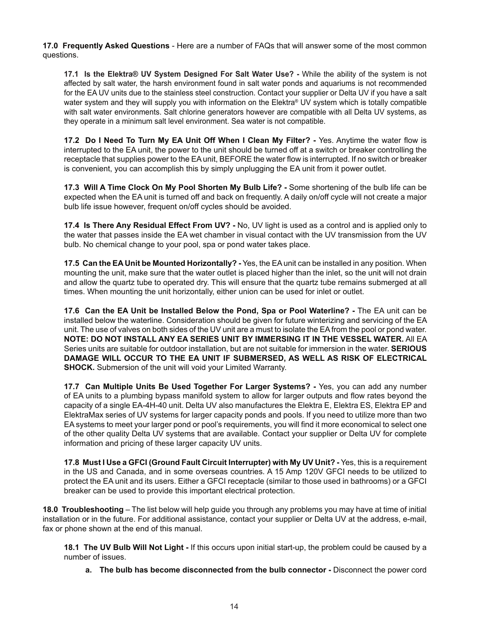**17.0 Frequently Asked Questions** - Here are a number of FAQs that will answer some of the most common questions.

**17.1 Is the Elektra® UV System Designed For Salt Water Use? -** While the ability of the system is not affected by salt water, the harsh environment found in salt water ponds and aquariums is not recommended for the EA UV units due to the stainless steel construction. Contact your supplier or Delta UV if you have a salt water system and they will supply you with information on the Elektra® UV system which is totally compatible with salt water environments. Salt chlorine generators however are compatible with all Delta UV systems, as they operate in a minimum salt level environment. Sea water is not compatible.

**17.2 Do I Need To Turn My EA Unit Off When I Clean My Filter? -** Yes. Anytime the water flow is interrupted to the EA unit, the power to the unit should be turned off at a switch or breaker controlling the receptacle that supplies power to the EA unit, BEFORE the water flow is interrupted. If no switch or breaker is convenient, you can accomplish this by simply unplugging the EA unit from it power outlet.

**17.3 Will A Time Clock On My Pool Shorten My Bulb Life? -** Some shortening of the bulb life can be expected when the EA unit is turned off and back on frequently. A daily on/off cycle will not create a major bulb life issue however, frequent on/off cycles should be avoided.

**17.4 Is There Any Residual Effect From UV? -** No, UV light is used as a control and is applied only to the water that passes inside the EA wet chamber in visual contact with the UV transmission from the UV bulb. No chemical change to your pool, spa or pond water takes place.

**17.5 Can the EA Unit be Mounted Horizontally? -** Yes, the EA unit can be installed in any position. When mounting the unit, make sure that the water outlet is placed higher than the inlet, so the unit will not drain and allow the quartz tube to operated dry. This will ensure that the quartz tube remains submerged at all times. When mounting the unit horizontally, either union can be used for inlet or outlet.

**17.6 Can the EA Unit be Installed Below the Pond, Spa or Pool Waterline? -** The EA unit can be installed below the waterline. Consideration should be given for future winterizing and servicing of the EA unit. The use of valves on both sides of the UV unit are a must to isolate the EA from the pool or pond water. **NOTE: DO NOT INSTALL ANY EA SERIES UNIT BY IMMERSING IT IN THE VESSEL WATER.** All EA Series units are suitable for outdoor installation, but are not suitable for immersion in the water. **SERIOUS DAMAGE WILL OCCUR TO THE EA UNIT IF SUBMERSED, AS WELL AS RISK OF ELECTRICAL SHOCK.** Submersion of the unit will void your Limited Warranty.

**17.7 Can Multiple Units Be Used Together For Larger Systems? -** Yes, you can add any number of EA units to a plumbing bypass manifold system to allow for larger outputs and flow rates beyond the capacity of a single EA-4H-40 unit. Delta UV also manufactures the Elektra E, Elektra ES, Elektra EP and ElektraMax series of UV systems for larger capacity ponds and pools. If you need to utilize more than two EA systems to meet your larger pond or pool's requirements, you will find it more economical to select one of the other quality Delta UV systems that are available. Contact your supplier or Delta UV for complete information and pricing of these larger capacity UV units.

**17.8 Must I Use a GFCI (Ground Fault Circuit Interrupter) with My UV Unit? -** Yes, this is a requirement in the US and Canada, and in some overseas countries. A 15 Amp 120V GFCI needs to be utilized to protect the EA unit and its users. Either a GFCI receptacle (similar to those used in bathrooms) or a GFCI breaker can be used to provide this important electrical protection.

**18.0 Troubleshooting** – The list below will help guide you through any problems you may have at time of initial installation or in the future. For additional assistance, contact your supplier or Delta UV at the address, e-mail, fax or phone shown at the end of this manual.

**18.1 The UV Bulb Will Not Light -** If this occurs upon initial start-up, the problem could be caused by a number of issues.

**a. The bulb has become disconnected from the bulb connector -** Disconnect the power cord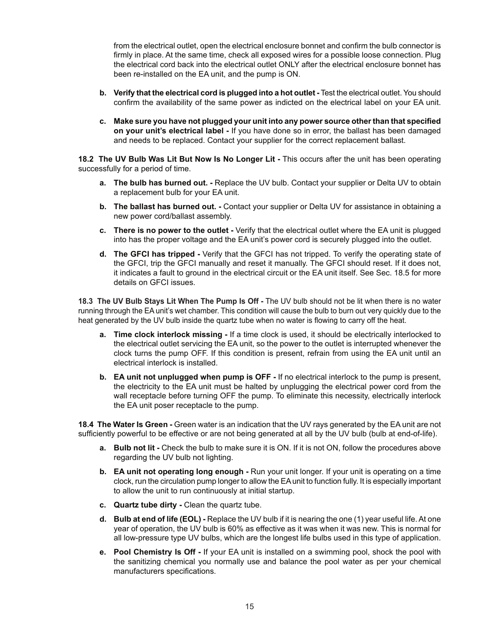from the electrical outlet, open the electrical enclosure bonnet and confirm the bulb connector is firmly in place. At the same time, check all exposed wires for a possible loose connection. Plug the electrical cord back into the electrical outlet ONLY after the electrical enclosure bonnet has been re-installed on the EA unit, and the pump is ON.

- **b. Verify that the electrical cord is plugged into a hot outlet -** Test the electrical outlet. You should confirm the availability of the same power as indicted on the electrical label on your EA unit.
- **c. Make sure you have not plugged your unit into any power source other than that specified on your unit's electrical label -** If you have done so in error, the ballast has been damaged and needs to be replaced. Contact your supplier for the correct replacement ballast.

**18.2 The UV Bulb Was Lit But Now Is No Longer Lit -** This occurs after the unit has been operating successfully for a period of time.

- **a. The bulb has burned out. -** Replace the UV bulb. Contact your supplier or Delta UV to obtain a replacement bulb for your EA unit.
- **b.** The ballast has burned out. Contact your supplier or Delta UV for assistance in obtaining a new power cord/ballast assembly.
- **c. There is no power to the outlet -** Verify that the electrical outlet where the EA unit is plugged into has the proper voltage and the EA unit's power cord is securely plugged into the outlet.
- **d. The GFCI has tripped -** Verify that the GFCI has not tripped. To verify the operating state of the GFCI, trip the GFCI manually and reset it manually. The GFCI should reset. If it does not, it indicates a fault to ground in the electrical circuit or the EA unit itself. See Sec. 18.5 for more details on GFCI issues.

**18.3 The UV Bulb Stays Lit When The Pump Is Off -** The UV bulb should not be lit when there is no water running through the EA unit's wet chamber. This condition will cause the bulb to burn out very quickly due to the heat generated by the UV bulb inside the quartz tube when no water is flowing to carry off the heat.

- **a. Time clock interlock missing -** If a time clock is used, it should be electrically interlocked to the electrical outlet servicing the EA unit, so the power to the outlet is interrupted whenever the clock turns the pump OFF. If this condition is present, refrain from using the EA unit until an electrical interlock is installed.
- **b. EA unit not unplugged when pump is OFF -** If no electrical interlock to the pump is present, the electricity to the EA unit must be halted by unplugging the electrical power cord from the wall receptacle before turning OFF the pump. To eliminate this necessity, electrically interlock the EA unit poser receptacle to the pump.

**18.4 The Water Is Green -** Green water is an indication that the UV rays generated by the EA unit are not sufficiently powerful to be effective or are not being generated at all by the UV bulb (bulb at end-of-life).

- **a. Bulb not lit -** Check the bulb to make sure it is ON. If it is not ON, follow the procedures above regarding the UV bulb not lighting.
- **b. EA unit not operating long enough -** Run your unit longer. If your unit is operating on a time clock, run the circulation pump longer to allow the EA unit to function fully. It is especially important to allow the unit to run continuously at initial startup.
- **c. Quartz tube dirty -** Clean the quartz tube.
- **d. Bulb at end of life (EOL) -** Replace the UV bulb if it is nearing the one (1) year useful life. At one year of operation, the UV bulb is 60% as effective as it was when it was new. This is normal for all low-pressure type UV bulbs, which are the longest life bulbs used in this type of application.
- **e. Pool Chemistry Is Off -** If your EA unit is installed on a swimming pool, shock the pool with the sanitizing chemical you normally use and balance the pool water as per your chemical manufacturers specifications.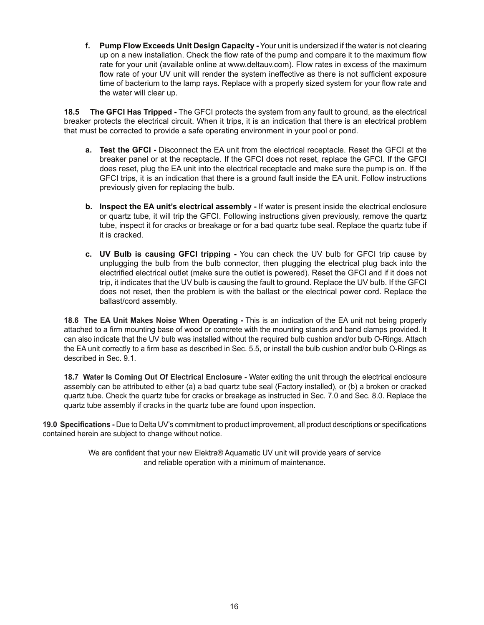**f. Pump Flow Exceeds Unit Design Capacity -** Your unit is undersized if the water is not clearing up on a new installation. Check the flow rate of the pump and compare it to the maximum flow rate for your unit (available online at www.deltauv.com). Flow rates in excess of the maximum flow rate of your UV unit will render the system ineffective as there is not sufficient exposure time of bacterium to the lamp rays. Replace with a properly sized system for your flow rate and the water will clear up.

**18.5 The GFCI Has Tripped -** The GFCI protects the system from any fault to ground, as the electrical breaker protects the electrical circuit. When it trips, it is an indication that there is an electrical problem that must be corrected to provide a safe operating environment in your pool or pond.

- **a. Test the GFCI -** Disconnect the EA unit from the electrical receptacle. Reset the GFCI at the breaker panel or at the receptacle. If the GFCI does not reset, replace the GFCI. If the GFCI does reset, plug the EA unit into the electrical receptacle and make sure the pump is on. If the GFCI trips, it is an indication that there is a ground fault inside the EA unit. Follow instructions previously given for replacing the bulb.
- **b. Inspect the EA unit's electrical assembly -** If water is present inside the electrical enclosure or quartz tube, it will trip the GFCI. Following instructions given previously, remove the quartz tube, inspect it for cracks or breakage or for a bad quartz tube seal. Replace the quartz tube if it is cracked.
- **c. UV Bulb is causing GFCI tripping -** You can check the UV bulb for GFCI trip cause by unplugging the bulb from the bulb connector, then plugging the electrical plug back into the electrified electrical outlet (make sure the outlet is powered). Reset the GFCI and if it does not trip, it indicates that the UV bulb is causing the fault to ground. Replace the UV bulb. If the GFCI does not reset, then the problem is with the ballast or the electrical power cord. Replace the ballast/cord assembly.

**18.6 The EA Unit Makes Noise When Operating -** This is an indication of the EA unit not being properly attached to a firm mounting base of wood or concrete with the mounting stands and band clamps provided. It can also indicate that the UV bulb was installed without the required bulb cushion and/or bulb O-Rings. Attach the EA unit correctly to a firm base as described in Sec. 5.5, or install the bulb cushion and/or bulb O-Rings as described in Sec. 9.1.

**18.7 Water Is Coming Out Of Electrical Enclosure -** Water exiting the unit through the electrical enclosure assembly can be attributed to either (a) a bad quartz tube seal (Factory installed), or (b) a broken or cracked quartz tube. Check the quartz tube for cracks or breakage as instructed in Sec. 7.0 and Sec. 8.0. Replace the quartz tube assembly if cracks in the quartz tube are found upon inspection.

**19.0 Specifications -** Due to Delta UV's commitment to product improvement, all product descriptions or specifications contained herein are subject to change without notice.

> We are confident that your new Elektra® Aquamatic UV unit will provide years of service and reliable operation with a minimum of maintenance.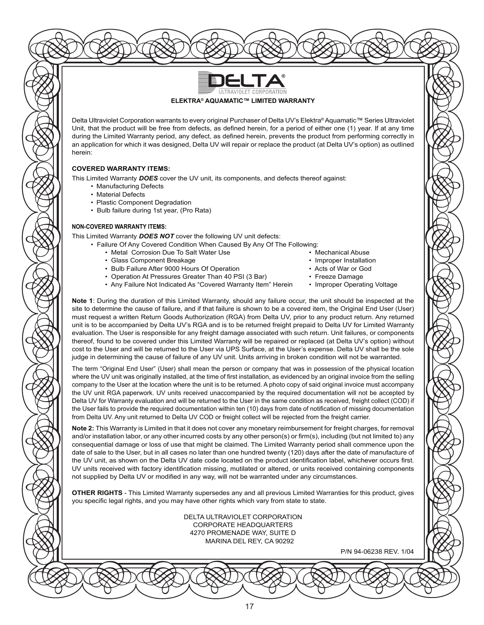

Delta Ultraviolet Corporation warrants to every original Purchaser of Delta UV's Elektra® Aquamatic™ Series Ultraviolet Unit, that the product will be free from defects, as defined herein, for a period of either one (1) year. If at any time during the Limited Warranty period, any defect, as defined herein, prevents the product from performing correctly in an application for which it was designed, Delta UV will repair or replace the product (at Delta UV's option) as outlined herein:

#### **COVERED WARRANTY ITEMS:**

This Limited Warranty *DOES* cover the UV unit, its components, and defects thereof against:

- Manufacturing Defects
- Material Defects
- Plastic Component Degradation
- Bulb failure during 1st year, (Pro Rata)

#### **NON-COVERED WARRANTY ITEMS:**

This Limited Warranty *DOES NOT* cover the following UV unit defects:

- Failure Of Any Covered Condition When Caused By Any Of The Following:
	- Metal Corrosion Due To Salt Water Use  **Mechanical Abuse**
	- Glass Component Breakage  **Improper Installation** Improper Installation
	- Bulb Failure After 9000 Hours Of Operation Acts of War or God
	- Operation At Pressures Greater Than 40 PSI (3 Bar) Freeze Damage
	- Any Failure Not Indicated As "Covered Warranty Item" Herein Improper Operating Voltage
- 
- 
- 
- 
- 

**Note 1**: During the duration of this Limited Warranty, should any failure occur, the unit should be inspected at the site to determine the cause of failure, and if that failure is shown to be a covered item, the Original End User (User) must request a written Return Goods Authorization (RGA) from Delta UV, prior to any product return. Any returned unit is to be accompanied by Delta UV's RGA and is to be returned freight prepaid to Delta UV for Limited Warranty evaluation. The User is responsible for any freight damage associated with such return. Unit failures, or components thereof, found to be covered under this Limited Warranty will be repaired or replaced (at Delta UV's option) without cost to the User and will be returned to the User via UPS Surface, at the User's expense. Delta UV shall be the sole judge in determining the cause of failure of any UV unit. Units arriving in broken condition will not be warranted.

The term "Original End User" (User) shall mean the person or company that was in possession of the physical location where the UV unit was originally installed, at the time of first installation, as evidenced by an original invoice from the selling company to the User at the location where the unit is to be returned. A photo copy of said original invoice must accompany the UV unit RGA paperwork. UV units received unaccompanied by the required documentation will not be accepted by Delta UV for Warranty evaluation and will be returned to the User in the same condition as received, freight collect (COD) if the User fails to provide the required documentation within ten (10) days from date of notification of missing documentation from Delta UV. Any unit returned to Delta UV COD or freight collect will be rejected from the freight carrier.

**Note 2:** This Warranty is Limited in that it does not cover any monetary reimbursement for freight charges, for removal and/or installation labor, or any other incurred costs by any other person(s) or firm(s), including (but not limited to) any consequential damage or loss of use that might be claimed. The Limited Warranty period shall commence upon the date of sale to the User, but in all cases no later than one hundred twenty (120) days after the date of manufacture of the UV unit, as shown on the Delta UV date code located on the product identification label, whichever occurs first. UV units received with factory identification missing, mutilated or altered, or units received containing components not supplied by Delta UV or modified in any way, will not be warranted under any circumstances.

**OTHER RIGHTS** - This Limited Warranty supersedes any and all previous Limited Warranties for this product, gives you specific legal rights, and you may have other rights which vary from state to state.

> DELTA ULTRAVIOLET CORPORATION CORPORATE HEADQUARTERS 4270 PROMENADE WAY, SUITE D MARINA DEL REY, CA 90292

> > P/N 94-06238 REV. 1/04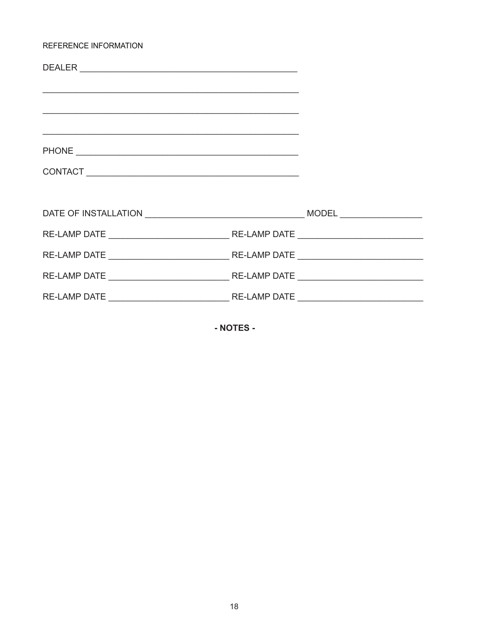#### REFERENCE INFORMATION

| <u> 1989 - Johann Stoff, amerikansk politiker (d. 1989)</u> |  |
|-------------------------------------------------------------|--|
|                                                             |  |
|                                                             |  |
|                                                             |  |
|                                                             |  |
|                                                             |  |
|                                                             |  |
|                                                             |  |
|                                                             |  |

- NOTES -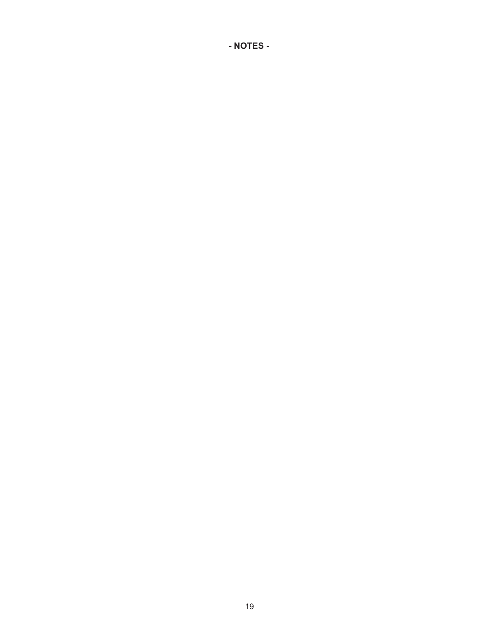**- NOTES -**